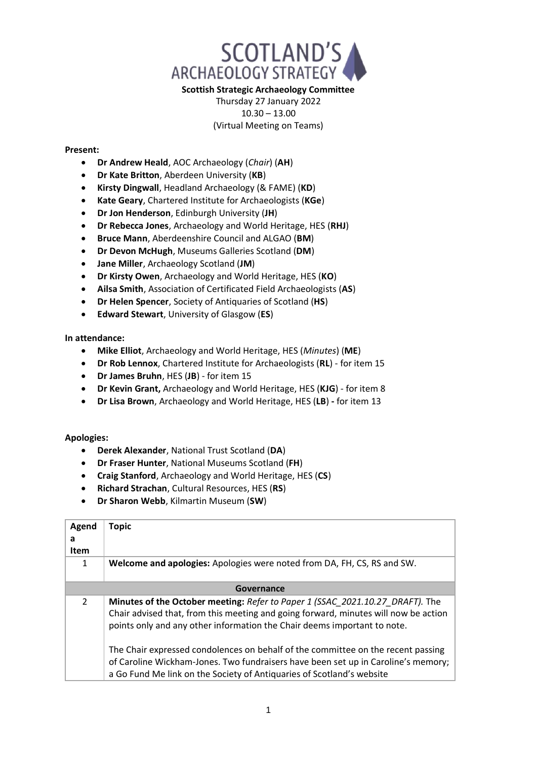

## **Scottish Strategic Archaeology Committee**

## Thursday 27 January 2022 10.30 – 13.00 (Virtual Meeting on Teams)

## **Present:**

- **Dr Andrew Heald**, AOC Archaeology (*Chair*) (**AH**)
- **Dr Kate Britton**, Aberdeen University (**KB**)
- **Kirsty Dingwall**, Headland Archaeology (& FAME) (**KD**)
- **Kate Geary**, Chartered Institute for Archaeologists (**KGe**)
- **Dr Jon Henderson**, Edinburgh University (**JH**)
- **Dr Rebecca Jones**, Archaeology and World Heritage, HES (**RHJ**)
- **Bruce Mann**, Aberdeenshire Council and ALGAO (**BM**)
- **Dr Devon McHugh**, Museums Galleries Scotland (**DM**)
- **Jane Miller**, Archaeology Scotland (**JM**)
- **Dr Kirsty Owen**, Archaeology and World Heritage, HES (**KO**)
- **Ailsa Smith**, Association of Certificated Field Archaeologists (**AS**)
- **Dr Helen Spencer**, Society of Antiquaries of Scotland (**HS**)
- **Edward Stewart**, University of Glasgow (**ES**)

**In attendance:** 

- **Mike Elliot**, Archaeology and World Heritage, HES (*Minutes*) (**ME**)
- **Dr Rob Lennox**, Chartered Institute for Archaeologists (**RL**) for item 15
- **Dr James Bruhn**, HES (**JB**) for item 15
- **Dr Kevin Grant,** Archaeology and World Heritage, HES (**KJG**) for item 8
- **Dr Lisa Brown**, Archaeology and World Heritage, HES (**LB**) **-** for item 13

## **Apologies:**

- **Derek Alexander**, National Trust Scotland (**DA**)
- **Dr Fraser Hunter**, National Museums Scotland (**FH**)
- **Craig Stanford**, Archaeology and World Heritage, HES (**CS**)
- **Richard Strachan**, Cultural Resources, HES (**RS**)
- **Dr Sharon Webb**, Kilmartin Museum (**SW**)

| Agend<br>a<br>Item | <b>Topic</b>                                                                                                                                                                                                                                     |  |  |
|--------------------|--------------------------------------------------------------------------------------------------------------------------------------------------------------------------------------------------------------------------------------------------|--|--|
| 1                  | <b>Welcome and apologies:</b> Apologies were noted from DA, FH, CS, RS and SW.                                                                                                                                                                   |  |  |
| Governance         |                                                                                                                                                                                                                                                  |  |  |
| $\mathcal{P}$      | Minutes of the October meeting: Refer to Paper 1 (SSAC_2021.10.27_DRAFT). The<br>Chair advised that, from this meeting and going forward, minutes will now be action<br>points only and any other information the Chair deems important to note. |  |  |
|                    | The Chair expressed condolences on behalf of the committee on the recent passing<br>of Caroline Wickham-Jones. Two fundraisers have been set up in Caroline's memory;<br>a Go Fund Me link on the Society of Antiquaries of Scotland's website   |  |  |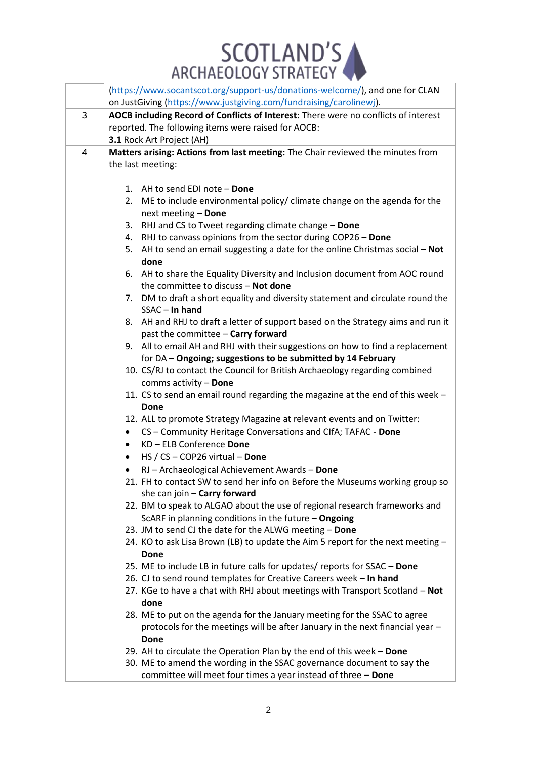

|   | (https://www.socantscot.org/support-us/donations-welcome/), and one for CLAN<br>on JustGiving (https://www.justgiving.com/fundraising/carolinewi). |
|---|----------------------------------------------------------------------------------------------------------------------------------------------------|
| 3 | AOCB including Record of Conflicts of Interest: There were no conflicts of interest                                                                |
|   | reported. The following items were raised for AOCB:                                                                                                |
|   | 3.1 Rock Art Project (AH)                                                                                                                          |
| 4 | Matters arising: Actions from last meeting: The Chair reviewed the minutes from                                                                    |
|   | the last meeting:                                                                                                                                  |
|   |                                                                                                                                                    |
|   | 1. AH to send EDI note - Done                                                                                                                      |
|   | 2. ME to include environmental policy/ climate change on the agenda for the                                                                        |
|   | next meeting - Done                                                                                                                                |
|   | RHJ and CS to Tweet regarding climate change - Done<br>3.                                                                                          |
|   | 4. RHJ to canvass opinions from the sector during COP26 - Done                                                                                     |
|   | AH to send an email suggesting a date for the online Christmas social - Not<br>5.                                                                  |
|   | done                                                                                                                                               |
|   | 6. AH to share the Equality Diversity and Inclusion document from AOC round                                                                        |
|   | the committee to discuss - Not done                                                                                                                |
|   | 7. DM to draft a short equality and diversity statement and circulate round the<br>$SSAC - In hand$                                                |
|   | 8. AH and RHJ to draft a letter of support based on the Strategy aims and run it                                                                   |
|   | past the committee - Carry forward                                                                                                                 |
|   | 9. All to email AH and RHJ with their suggestions on how to find a replacement                                                                     |
|   | for DA - Ongoing; suggestions to be submitted by 14 February                                                                                       |
|   | 10. CS/RJ to contact the Council for British Archaeology regarding combined                                                                        |
|   | comms activity - Done                                                                                                                              |
|   | 11. CS to send an email round regarding the magazine at the end of this week -                                                                     |
|   | Done                                                                                                                                               |
|   | 12. ALL to promote Strategy Magazine at relevant events and on Twitter:                                                                            |
|   | CS - Community Heritage Conversations and ClfA; TAFAC - Done<br>$\bullet$                                                                          |
|   | KD - ELB Conference Done<br>$\bullet$                                                                                                              |
|   | HS / CS - COP26 virtual - Done<br>$\bullet$                                                                                                        |
|   | RJ - Archaeological Achievement Awards - Done<br>$\bullet$                                                                                         |
|   | 21. FH to contact SW to send her info on Before the Museums working group so                                                                       |
|   | she can join $-$ Carry forward<br>22. BM to speak to ALGAO about the use of regional research frameworks and                                       |
|   | ScARF in planning conditions in the future - Ongoing                                                                                               |
|   | 23. JM to send CJ the date for the ALWG meeting - Done                                                                                             |
|   | 24. KO to ask Lisa Brown (LB) to update the Aim 5 report for the next meeting -                                                                    |
|   | Done                                                                                                                                               |
|   | 25. ME to include LB in future calls for updates/ reports for SSAC - Done                                                                          |
|   | 26. CJ to send round templates for Creative Careers week - In hand                                                                                 |
|   | 27. KGe to have a chat with RHJ about meetings with Transport Scotland - Not                                                                       |
|   | done                                                                                                                                               |
|   | 28. ME to put on the agenda for the January meeting for the SSAC to agree                                                                          |
|   | protocols for the meetings will be after January in the next financial year -                                                                      |
|   | Done                                                                                                                                               |
|   | 29. AH to circulate the Operation Plan by the end of this week - Done                                                                              |
|   | 30. ME to amend the wording in the SSAC governance document to say the                                                                             |
|   | committee will meet four times a year instead of three - Done                                                                                      |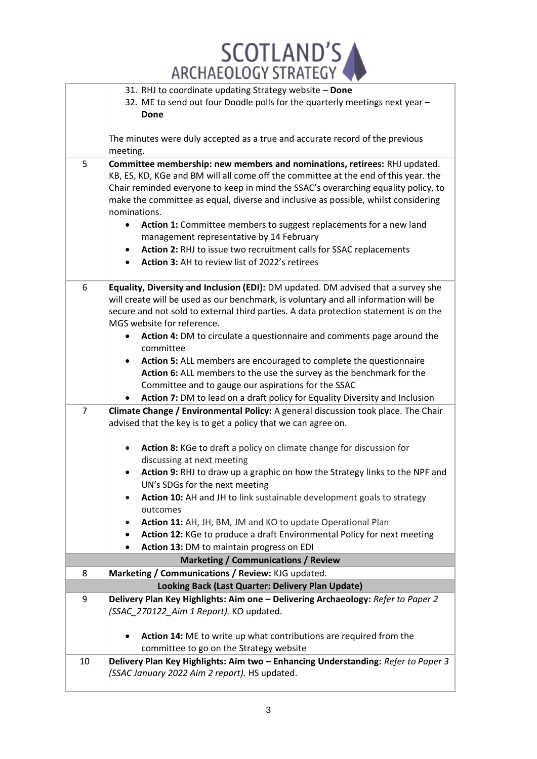SCOTLAND'S

|                | 31. RHJ to coordinate updating Strategy website - Done<br>32. ME to send out four Doodle polls for the quarterly meetings next year -<br>Done                                                                                                                                                                                                                                                                                                                                                                                                                                                                                                                                          |
|----------------|----------------------------------------------------------------------------------------------------------------------------------------------------------------------------------------------------------------------------------------------------------------------------------------------------------------------------------------------------------------------------------------------------------------------------------------------------------------------------------------------------------------------------------------------------------------------------------------------------------------------------------------------------------------------------------------|
|                | The minutes were duly accepted as a true and accurate record of the previous<br>meeting.                                                                                                                                                                                                                                                                                                                                                                                                                                                                                                                                                                                               |
| 5              | Committee membership: new members and nominations, retirees: RHJ updated.<br>KB, ES, KD, KGe and BM will all come off the committee at the end of this year. the<br>Chair reminded everyone to keep in mind the SSAC's overarching equality policy, to<br>make the committee as equal, diverse and inclusive as possible, whilst considering<br>nominations.<br>Action 1: Committee members to suggest replacements for a new land<br>management representative by 14 February<br>Action 2: RHJ to issue two recruitment calls for SSAC replacements<br>Action 3: AH to review list of 2022's retirees                                                                                 |
| 6              | Equality, Diversity and Inclusion (EDI): DM updated. DM advised that a survey she<br>will create will be used as our benchmark, is voluntary and all information will be<br>secure and not sold to external third parties. A data protection statement is on the<br>MGS website for reference.<br>Action 4: DM to circulate a questionnaire and comments page around the<br>committee<br>Action 5: ALL members are encouraged to complete the questionnaire<br>$\bullet$<br>Action 6: ALL members to the use the survey as the benchmark for the<br>Committee and to gauge our aspirations for the SSAC<br>Action 7: DM to lead on a draft policy for Equality Diversity and Inclusion |
| $\overline{7}$ | Climate Change / Environmental Policy: A general discussion took place. The Chair                                                                                                                                                                                                                                                                                                                                                                                                                                                                                                                                                                                                      |
|                | advised that the key is to get a policy that we can agree on.                                                                                                                                                                                                                                                                                                                                                                                                                                                                                                                                                                                                                          |
|                | Action 8: KGe to draft a policy on climate change for discussion for<br>$\bullet$                                                                                                                                                                                                                                                                                                                                                                                                                                                                                                                                                                                                      |
|                | discussing at next meeting<br>Action 9: RHJ to draw up a graphic on how the Strategy links to the NPF and                                                                                                                                                                                                                                                                                                                                                                                                                                                                                                                                                                              |
|                | UN's SDGs for the next meeting                                                                                                                                                                                                                                                                                                                                                                                                                                                                                                                                                                                                                                                         |
|                | Action 10: AH and JH to link sustainable development goals to strategy<br>outcomes                                                                                                                                                                                                                                                                                                                                                                                                                                                                                                                                                                                                     |
|                | Action 11: AH, JH, BM, JM and KO to update Operational Plan<br>$\bullet$                                                                                                                                                                                                                                                                                                                                                                                                                                                                                                                                                                                                               |
|                | Action 12: KGe to produce a draft Environmental Policy for next meeting<br>$\bullet$                                                                                                                                                                                                                                                                                                                                                                                                                                                                                                                                                                                                   |
|                | Action 13: DM to maintain progress on EDI<br><b>Marketing / Communications / Review</b>                                                                                                                                                                                                                                                                                                                                                                                                                                                                                                                                                                                                |
| 8              | Marketing / Communications / Review: KJG updated.                                                                                                                                                                                                                                                                                                                                                                                                                                                                                                                                                                                                                                      |
|                | Looking Back (Last Quarter: Delivery Plan Update)                                                                                                                                                                                                                                                                                                                                                                                                                                                                                                                                                                                                                                      |
| 9              | Delivery Plan Key Highlights: Aim one - Delivering Archaeology: Refer to Paper 2<br>(SSAC_270122_Aim 1 Report). KO updated.                                                                                                                                                                                                                                                                                                                                                                                                                                                                                                                                                            |
|                | Action 14: ME to write up what contributions are required from the<br>committee to go on the Strategy website                                                                                                                                                                                                                                                                                                                                                                                                                                                                                                                                                                          |
| 10             | Delivery Plan Key Highlights: Aim two - Enhancing Understanding: Refer to Paper 3<br>(SSAC January 2022 Aim 2 report). HS updated.                                                                                                                                                                                                                                                                                                                                                                                                                                                                                                                                                     |